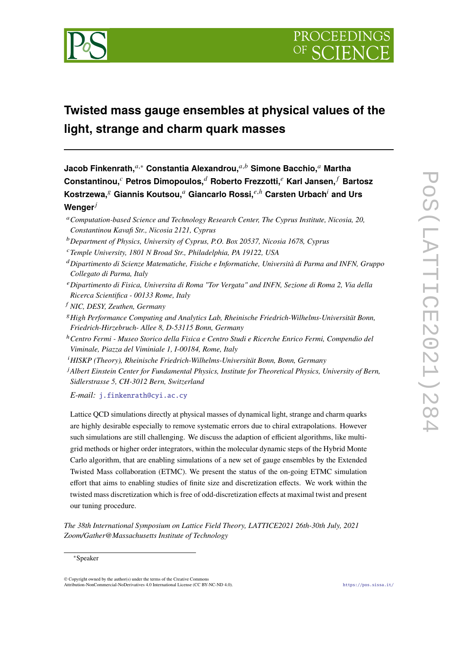

# **Twisted mass gauge ensembles at physical values of the light, strange and charm quark masses**

**Jacob Finkenrath,**<sup>a,∗</sup> Constantia Alexandrou,<sup>a,b</sup> Simone Bacchio,<sup>a</sup> Martha **Constantinou, Petros Dimopoulos, Roberto Frezzotti, Karl Jansen, Bartosz**  $K$ ostrzewa, $^g$  Giannis Koutsou,<sup>a</sup> Giancarlo Rossi, $^{e,h}$  Carsten Urbach<sup>i</sup> and Urs **Wenger**

- *Computation-based Science and Technology Research Center, The Cyprus Institute, Nicosia, 20, Constantinou Kavafi Str., Nicosia 2121, Cyprus*
- *Department of Physics, University of Cyprus, P.O. Box 20537, Nicosia 1678, Cyprus*
- *Temple University, 1801 N Broad Str., Philadelphia, PA 19122, USA*
- *Dipartimento di Scienze Matematiche, Fisiche e Informatiche, Università di Parma and INFN, Gruppo Collegato di Parma, Italy*
- *Dipartimento di Fisica, Universita di Roma "Tor Vergata" and INFN, Sezione di Roma 2, Via della Ricerca Scientifica - 00133 Rome, Italy*
- *NIC, DESY, Zeuthen, Germany*
- *High Performance Computing and Analytics Lab, Rheinische Friedrich-Wilhelms-Universität Bonn, Friedrich-Hirzebruch- Allee 8, D-53115 Bonn, Germany*
- <sup>ℎ</sup>*Centro Fermi Museo Storico della Fisica e Centro Studi e Ricerche Enrico Fermi, Compendio del Viminale, Piazza del Viminiale 1, I-00184, Rome, Italy*
- *HISKP (Theory), Rheinische Friedrich-Wilhelms-Universität Bonn, Bonn, Germany*

<sup>*J*</sup> Albert Einstein Center for Fundamental Physics, Institute for Theoretical Physics, University of Bern, *Sidlerstrasse 5, CH-3012 Bern, Switzerland*

*E-mail:* [j.finkenrath@cyi.ac.cy](mailto:j.finkenrath@cyi.ac.cy)

Lattice QCD simulations directly at physical masses of dynamical light, strange and charm quarks are highly desirable especially to remove systematic errors due to chiral extrapolations. However such simulations are still challenging. We discuss the adaption of efficient algorithms, like multigrid methods or higher order integrators, within the molecular dynamic steps of the Hybrid Monte Carlo algorithm, that are enabling simulations of a new set of gauge ensembles by the Extended Twisted Mass collaboration (ETMC). We present the status of the on-going ETMC simulation effort that aims to enabling studies of finite size and discretization effects. We work within the twisted mass discretization which is free of odd-discretization effects at maximal twist and present our tuning procedure.

*The 38th International Symposium on Lattice Field Theory, LATTICE2021 26th-30th July, 2021 Zoom/Gather@Massachusetts Institute of Technology*

<sup>∗</sup>Speaker

<sup>©</sup> Copyright owned by the author(s) under the terms of the Creative Commons Attribution-NonCommercial-NoDerivatives 4.0 International License (CC BY-NC-ND 4.0). <https://pos.sissa.it/>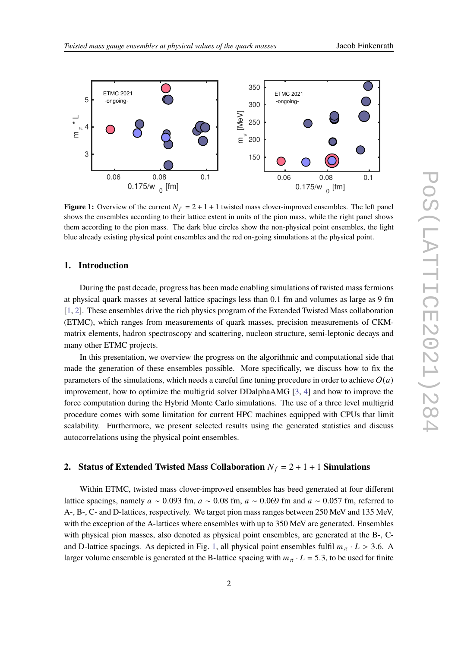<span id="page-1-0"></span>

**Figure 1:** Overview of the current  $N_f = 2 + 1 + 1$  twisted mass clover-improved ensembles. The left panel shows the ensembles according to their lattice extent in units of the pion mass, while the right panel shows them according to the pion mass. The dark blue circles show the non-physical point ensembles, the light blue already existing physical point ensembles and the red on-going simulations at the physical point.

# **1. Introduction**

During the past decade, progress has been made enabling simulations of twisted mass fermions at physical quark masses at several lattice spacings less than 0.1 fm and volumes as large as 9 fm [\[1,](#page-10-0) [2\]](#page-10-1). These ensembles drive the rich physics program of the Extended Twisted Mass collaboration (ETMC), which ranges from measurements of quark masses, precision measurements of CKMmatrix elements, hadron spectroscopy and scattering, nucleon structure, semi-leptonic decays and many other ETMC projects.

In this presentation, we overview the progress on the algorithmic and computational side that made the generation of these ensembles possible. More specifically, we discuss how to fix the parameters of the simulations, which needs a careful fine tuning procedure in order to achieve  $O(a)$ improvement, how to optimize the multigrid solver DDalphaAMG [\[3,](#page-10-2) [4\]](#page-10-3) and how to improve the force computation during the Hybrid Monte Carlo simulations. The use of a three level multigrid procedure comes with some limitation for current HPC machines equipped with CPUs that limit scalability. Furthermore, we present selected results using the generated statistics and discuss autocorrelations using the physical point ensembles.

# **2.** Status of Extended Twisted Mass Collaboration  $N_f = 2 + 1 + 1$  Simulations

Within ETMC, twisted mass clover-improved ensembles has beed generated at four different lattice spacings, namely  $a \sim 0.093$  fm,  $a \sim 0.08$  fm,  $a \sim 0.069$  fm and  $a \sim 0.057$  fm, referred to A-, B-, C- and D-lattices, respectively. We target pion mass ranges between 250 MeV and 135 MeV, with the exception of the A-lattices where ensembles with up to 350 MeV are generated. Ensembles with physical pion masses, also denoted as physical point ensembles, are generated at the B-, C-and D-lattice spacings. As depicted in Fig. [1,](#page-1-0) all physical point ensembles fulfil  $m_{\pi} \cdot L > 3.6$ . A larger volume ensemble is generated at the B-lattice spacing with  $m_{\pi} \cdot L = 5.3$ , to be used for finite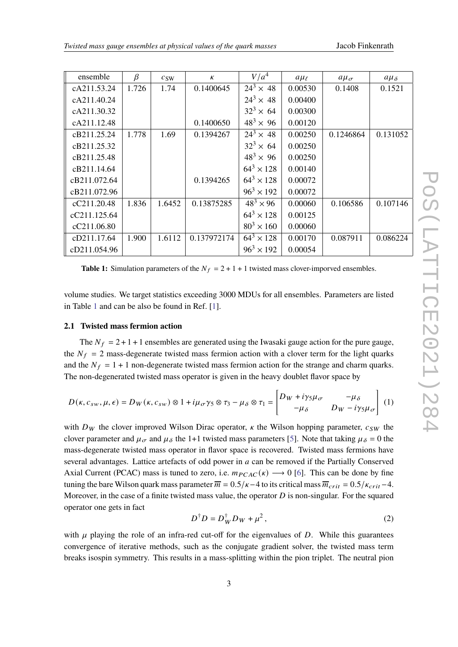<span id="page-2-0"></span>

| ensemble     | β     | c <sub>SW</sub> | К           | V/a <sup>4</sup>    | $a\mu_{\ell}$ | $a\mu_{\sigma}$ | $a\mu_{\delta}$ |
|--------------|-------|-----------------|-------------|---------------------|---------------|-----------------|-----------------|
| cA211.53.24  | 1.726 | 1.74            | 0.1400645   | $24^3 \times 48$    | 0.00530       | 0.1408          | 0.1521          |
| cA211.40.24  |       |                 |             | $24^3 \times 48$    | 0.00400       |                 |                 |
| cA211.30.32  |       |                 |             | $32^3 \times 64$    | 0.00300       |                 |                 |
| cA211.12.48  |       |                 | 0.1400650   | $48^3 \times 96$    | 0.00120       |                 |                 |
| cB211.25.24  | 1.778 | 1.69            | 0.1394267   | $24^3 \times 48$    | 0.00250       | 0.1246864       | 0.131052        |
| cB211.25.32  |       |                 |             | $32^3 \times 64$    | 0.00250       |                 |                 |
| cB211.25.48  |       |                 |             | $48^3 \times 96$    | 0.00250       |                 |                 |
| cB211.14.64  |       |                 |             | $64^3 \times 128$   | 0.00140       |                 |                 |
| cB211.072.64 |       |                 | 0.1394265   | $64^3 \times 128$   | 0.00072       |                 |                 |
| cB211.072.96 |       |                 |             | $96^3 \times 192$   | 0.00072       |                 |                 |
| cC211.20.48  | 1.836 | 1.6452          | 0.13875285  | $48^3 \times 96$    | 0.00060       | 0.106586        | 0.107146        |
| cC211.125.64 |       |                 |             | $64^3 \times 128$   | 0.00125       |                 |                 |
| cC211.06.80  |       |                 |             | $80^{3} \times 160$ | 0.00060       |                 |                 |
| cD211.17.64  | 1.900 | 1.6112          | 0.137972174 | $64^3 \times 128$   | 0.00170       | 0.087911        | 0.086224        |
| cD211.054.96 |       |                 |             | $96^3 \times 192$   | 0.00054       |                 |                 |

**Table 1:** Simulation parameters of the  $N_f = 2 + 1 + 1$  twisted mass clover-imporved ensembles.

volume studies. We target statistics exceeding 3000 MDUs for all ensembles. Parameters are listed in Table [1](#page-2-0) and can be also be found in Ref. [\[1\]](#page-10-0).

## **2.1 Twisted mass fermion action**

The  $N_f = 2 + 1 + 1$  ensembles are generated using the Iwasaki gauge action for the pure gauge, the  $N_f = 2$  mass-degenerate twisted mass fermion action with a clover term for the light quarks and the  $N_f = 1 + 1$  non-degenerate twisted mass fermion action for the strange and charm quarks. The non-degenerated twisted mass operator is given in the heavy doublet flavor space by

<span id="page-2-1"></span>
$$
D(\kappa, c_{sw}, \mu, \epsilon) = D_W(\kappa, c_{sw}) \otimes 1 + i\mu_{\sigma} \gamma_5 \otimes \tau_3 - \mu_{\delta} \otimes \tau_1 = \begin{bmatrix} D_W + i\gamma_5 \mu_{\sigma} & -\mu_{\delta} \\ -\mu_{\delta} & D_W - i\gamma_5 \mu_{\sigma} \end{bmatrix} (1)
$$

with  $D_W$  the clover improved Wilson Dirac operator,  $\kappa$  the Wilson hopping parameter,  $c_{SW}$  the clover parameter and  $\mu_{\sigma}$  and  $\mu_{\delta}$  the 1+1 twisted mass parameters [\[5\]](#page-10-4). Note that taking  $\mu_{\delta} = 0$  the mass-degenerate twisted mass operator in flavor space is recovered. Twisted mass fermions have several advantages. Lattice artefacts of odd power in  $a$  can be removed if the Partially Conserved Axial Current (PCAC) mass is tuned to zero, i.e.  $m_{PCAC}(\kappa) \rightarrow 0$  [\[6\]](#page-10-5). This can be done by fine tuning the bare Wilson quark mass parameter  $\overline{m} = 0.5/\kappa - 4$  to its critical mass  $\overline{m}_{crit} = 0.5/\kappa_{crit} - 4$ . Moreover, in the case of a finite twisted mass value, the operator  $D$  is non-singular. For the squared operator one gets in fact

$$
D^{\dagger}D = D_W^{\dagger}D_W + \mu^2, \qquad (2)
$$

with  $\mu$  playing the role of an infra-red cut-off for the eigenvalues of D. While this guarantees convergence of iterative methods, such as the conjugate gradient solver, the twisted mass term breaks isospin symmetry. This results in a mass-splitting within the pion triplet. The neutral pion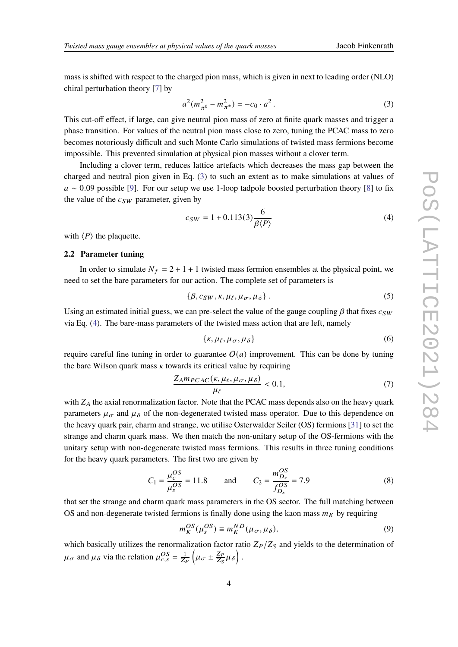mass is shifted with respect to the charged pion mass, which is given in next to leading order (NLO) chiral perturbation theory [\[7\]](#page-10-6) by

<span id="page-3-0"></span>
$$
a^{2}(m_{\pi^{0}}^{2} - m_{\pi^{+}}^{2}) = -c_{0} \cdot a^{2}. \qquad (3)
$$

This cut-off effect, if large, can give neutral pion mass of zero at finite quark masses and trigger a phase transition. For values of the neutral pion mass close to zero, tuning the PCAC mass to zero becomes notoriously difficult and such Monte Carlo simulations of twisted mass fermions become impossible. This prevented simulation at physical pion masses without a clover term.

Including a clover term, reduces lattice artefacts which decreases the mass gap between the charged and neutral pion given in Eq. [\(3\)](#page-3-0) to such an extent as to make simulations at values of  $a \sim 0.09$  possible [\[9\]](#page-10-7). For our setup we use 1-loop tadpole boosted perturbation theory [\[8\]](#page-10-8) to fix the value of the  $c_{SW}$  parameter, given by

<span id="page-3-1"></span>
$$
c_{SW} = 1 + 0.113(3) \frac{6}{\beta \langle P \rangle} \tag{4}
$$

with  $\langle P \rangle$  the plaquette.

#### **2.2 Parameter tuning**

In order to simulate  $N_f = 2 + 1 + 1$  twisted mass fermion ensembles at the physical point, we need to set the bare parameters for our action. The complete set of parameters is

$$
\{\beta, c_{SW}, \kappa, \mu_{\ell}, \mu_{\sigma}, \mu_{\delta}\} \,. \tag{5}
$$

Using an estimated initial guess, we can pre-select the value of the gauge coupling  $\beta$  that fixes  $c_{SW}$ via Eq. [\(4\)](#page-3-1). The bare-mass parameters of the twisted mass action that are left, namely

$$
\{\kappa, \mu_{\ell}, \mu_{\sigma}, \mu_{\delta}\}\tag{6}
$$

require careful fine tuning in order to guarantee  $O(a)$  improvement. This can be done by tuning the bare Wilson quark mass  $\kappa$  towards its critical value by requiring

<span id="page-3-2"></span>
$$
\frac{Z_A m_{PCAC}(\kappa, \mu_\ell, \mu_\sigma, \mu_\delta)}{\mu_\ell} < 0.1,\tag{7}
$$

with  $Z_A$  the axial renormalization factor. Note that the PCAC mass depends also on the heavy quark parameters  $\mu_{\sigma}$  and  $\mu_{\delta}$  of the non-degenerated twisted mass operator. Due to this dependence on the heavy quark pair, charm and strange, we utilise Osterwalder Seiler (OS) fermions [\[31\]](#page-11-0) to set the strange and charm quark mass. We then match the non-unitary setup of the OS-fermions with the unitary setup with non-degenerate twisted mass fermions. This results in three tuning conditions for the heavy quark parameters. The first two are given by

$$
C_1 = \frac{\mu_c^{OS}}{\mu_s^{OS}} = 11.8 \quad \text{and} \quad C_2 = \frac{m_{D_s}^{OS}}{f_{D_s}^{OS}} = 7.9 \tag{8}
$$

that set the strange and charm quark mass parameters in the OS sector. The full matching between OS and non-degenerate twisted fermions is finally done using the kaon mass  $m<sub>K</sub>$  by requiring

$$
m_K^{OS}(\mu_s^{OS}) \equiv m_K^{ND}(\mu_\sigma, \mu_\delta),\tag{9}
$$

which basically utilizes the renormalization factor ratio  $Z_P/Z_S$  and yields to the determination of  $\mu_{\sigma}$  and  $\mu_{\delta}$  via the relation  $\mu_{c,s}^{OS} = \frac{1}{Z_P} \left( \mu_{\sigma} \pm \frac{Z_P}{Z_S} \right)$  $\frac{Z_P}{Z_S} \mu_\delta\Big)$  .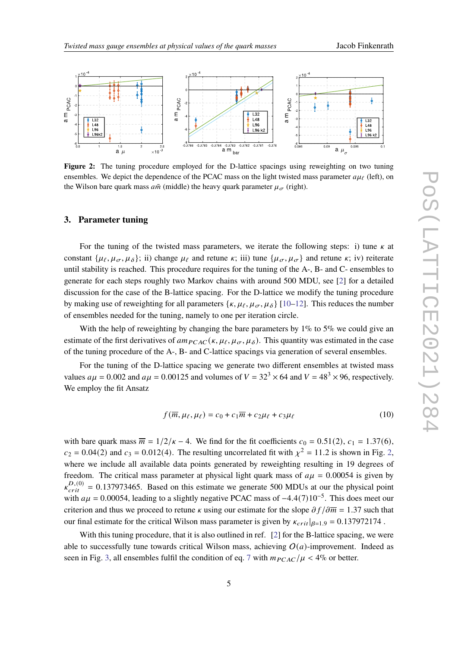<span id="page-4-0"></span>

**Figure 2:** The tuning procedure employed for the D-lattice spacings using reweighting on two tuning ensembles. We depict the dependence of the PCAC mass on the light twisted mass parameter  $a\mu_f$  (left), on the Wilson bare quark mass  $a\bar{m}$  (middle) the heavy quark parameter  $\mu_{\sigma}$  (right).

## **3. Parameter tuning**

For the tuning of the twisted mass parameters, we iterate the following steps: i) tune  $\kappa$  at constant  $\{\mu_{\ell}, \mu_{\sigma}, \mu_{\delta}\}$ ; ii) change  $\mu_{\ell}$  and retune  $\kappa$ ; iii) tune  $\{\mu_{\sigma}, \mu_{\sigma}\}$  and retune  $\kappa$ ; iv) reiterate until stability is reached. This procedure requires for the tuning of the A-, B- and C- ensembles to generate for each steps roughly two Markov chains with around 500 MDU, see [\[2\]](#page-10-1) for a detailed discussion for the case of the B-lattice spacing. For the D-lattice we modify the tuning procedure by making use of reweighting for all parameters  $\{\kappa, \mu_{\ell}, \mu_{\sigma}, \mu_{\delta}\}\$  [\[10–](#page-10-9)[12\]](#page-10-10). This reduces the number of ensembles needed for the tuning, namely to one per iteration circle.

With the help of reweighting by changing the bare parameters by 1% to 5% we could give an estimate of the first derivatives of  $am_{PCAC}(k, \mu_{\ell}, \mu_{\sigma}, \mu_{\delta})$ . This quantity was estimated in the case of the tuning procedure of the A-, B- and C-lattice spacings via generation of several ensembles.

For the tuning of the D-lattice spacing we generate two different ensembles at twisted mass values  $a\mu = 0.002$  and  $a\mu = 0.00125$  and volumes of  $V = 32<sup>3</sup> \times 64$  and  $V = 48<sup>3</sup> \times 96$ , respectively. We employ the fit Ansatz

$$
f(\overline{m}, \mu_{\ell}, \mu_{\ell}) = c_0 + c_1 \overline{m} + c_2 \mu_{\ell} + c_3 \mu_{\ell}
$$
 (10)

with bare quark mass  $\overline{m} = 1/2/\kappa - 4$ . We find for the fit coefficients  $c_0 = 0.51(2)$ ,  $c_1 = 1.37(6)$ ,  $c_2 = 0.04(2)$  and  $c_3 = 0.012(4)$ . The resulting uncorrelated fit with  $\chi^2 = 11.2$  is shown in Fig. [2,](#page-4-0) where we include all available data points generated by reweighting resulting in 19 degrees of freedom. The critical mass parameter at physical light quark mass of  $a\mu = 0.00054$  is given by  $k_{crit}^{D,(0)} = 0.137973465$ . Based on this estimate we generate 500 MDUs at our the physical point with  $a\mu = 0.00054$ , leading to a slightly negative PCAC mass of  $-4.4(7)10^{-5}$ . This does meet our criterion and thus we proceed to retune  $\kappa$  using our estimate for the slope  $\partial f / \partial \overline{m} = 1.37$  such that our final estimate for the critical Wilson mass parameter is given by  $\kappa_{crit}|_{\beta=1.9} = 0.137972174$ .

With this tuning procedure, that it is also outlined in ref. [\[2\]](#page-10-1) for the B-lattice spacing, we were able to successfully tune towards critical Wilson mass, achieving  $O(a)$ -improvement. Indeed as seen in Fig. [3,](#page-5-0) all ensembles fulfil the condition of eq. [7](#page-3-2) with  $m_{PCAC}/\mu < 4\%$  or better.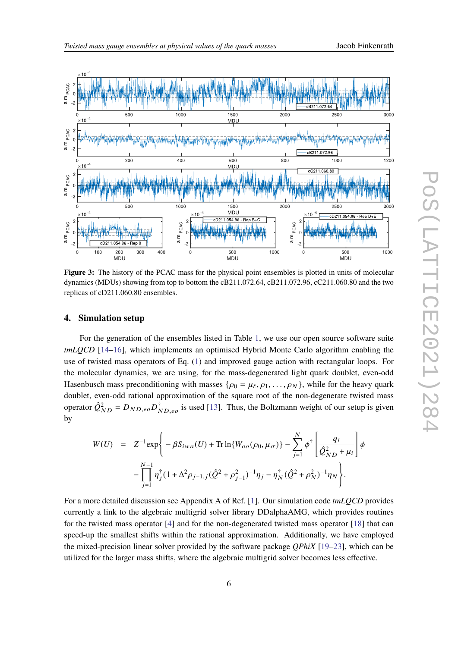<span id="page-5-0"></span>

Figure 3: The history of the PCAC mass for the physical point ensembles is plotted in units of molecular dynamics (MDUs) showing from top to bottom the cB211.072.64, cB211.072.96, cC211.060.80 and the two replicas of cD211.060.80 ensembles.

### **4. Simulation setup**

For the generation of the ensembles listed in Table [1,](#page-2-0) we use our open source software suite *tmLQCD* [\[14](#page-10-11)[–16\]](#page-11-1), which implements an optimised Hybrid Monte Carlo algorithm enabling the use of twisted mass operators of Eq. [\(1\)](#page-2-1) and improved gauge action with rectangular loops. For the molecular dynamics, we are using, for the mass-degenerated light quark doublet, even-odd Hasenbusch mass preconditioning with masses  $\{\rho_0 = \mu_\ell, \rho_1, \ldots, \rho_N\}$ , while for the heavy quark doublet, even-odd rational approximation of the square root of the non-degenerate twisted mass operator  $\hat{Q}_{ND}^2 = D_{ND,eo}D_{ND,eo}^{\dagger}$  is used [\[13\]](#page-10-12). Thus, the Boltzmann weight of our setup is given by

<span id="page-5-1"></span>
$$
W(U) = Z^{-1} \exp \left\{ -\beta S_{iwa}(U) + \text{Tr} \ln \{ W_{oo}(\rho_0, \mu_\sigma) \} - \sum_{j=1}^N \phi^\dagger \left[ \frac{q_i}{\hat{Q}_{ND}^2 + \mu_i} \right] \phi \right\}
$$

$$
- \prod_{j=1}^{N-1} \eta_j^\dagger (1 + \Delta^2 \rho_{j-1,j} (\hat{Q}^2 + \rho_{j-1}^2)^{-1} \eta_j - \eta_N^\dagger (\hat{Q}^2 + \rho_N^2)^{-1} \eta_N \right\}.
$$

For a more detailed discussion see Appendix A of Ref. [\[1\]](#page-10-0). Our simulation code *tmLQCD* provides currently a link to the algebraic multigrid solver library DDalphaAMG, which provides routines for the twisted mass operator [\[4\]](#page-10-3) and for the non-degenerated twisted mass operator [\[18\]](#page-11-2) that can speed-up the smallest shifts within the rational approximation. Additionally, we have employed the mixed-precision linear solver provided by the software package *QPhiX* [\[19–](#page-11-3)[23\]](#page-11-4), which can be utilized for the larger mass shifts, where the algebraic multigrid solver becomes less effective.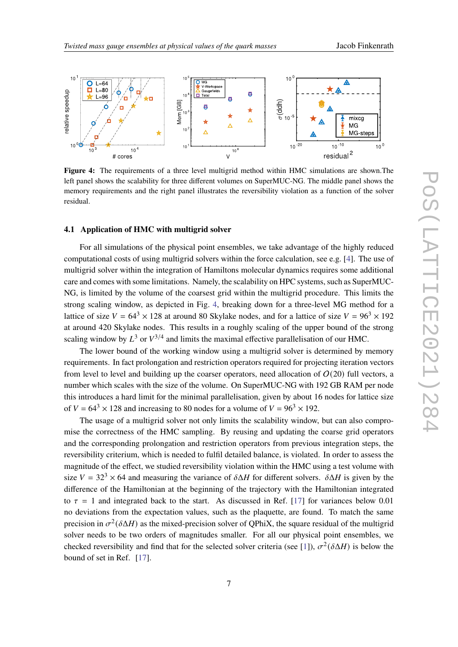<span id="page-6-0"></span>

Figure 4: The requirements of a three level multigrid method within HMC simulations are shown.The left panel shows the scalability for three different volumes on SuperMUC-NG. The middle panel shows the memory requirements and the right panel illustrates the reversibility violation as a function of the solver residual.

### **4.1 Application of HMC with multigrid solver**

For all simulations of the physical point ensembles, we take advantage of the highly reduced computational costs of using multigrid solvers within the force calculation, see e.g. [\[4\]](#page-10-3). The use of multigrid solver within the integration of Hamiltons molecular dynamics requires some additional care and comes with some limitations. Namely, the scalability on HPC systems, such as SuperMUC-NG, is limited by the volume of the coarsest grid within the multigrid procedure. This limits the strong scaling window, as depicted in Fig. [4,](#page-6-0) breaking down for a three-level MG method for a lattice of size  $V = 64^3 \times 128$  at around 80 Skylake nodes, and for a lattice of size  $V = 96^3 \times 192$ at around 420 Skylake nodes. This results in a roughly scaling of the upper bound of the strong scaling window by  $L^3$  or  $V^{3/4}$  and limits the maximal effective parallelisation of our HMC.

The lower bound of the working window using a multigrid solver is determined by memory requirements. In fact prolongation and restriction operators required for projecting iteration vectors from level to level and building up the coarser operators, need allocation of  $O(20)$  full vectors, a number which scales with the size of the volume. On SuperMUC-NG with 192 GB RAM per node this introduces a hard limit for the minimal parallelisation, given by about 16 nodes for lattice size of  $V = 64^3 \times 128$  and increasing to 80 nodes for a volume of  $V = 96^3 \times 192$ .

The usage of a multigrid solver not only limits the scalability window, but can also compromise the correctness of the HMC sampling. By reusing and updating the coarse grid operators and the corresponding prolongation and restriction operators from previous integration steps, the reversibility criterium, which is needed to fulfil detailed balance, is violated. In order to assess the magnitude of the effect, we studied reversibility violation within the HMC using a test volume with size  $V = 32<sup>3</sup> \times 64$  and measuring the variance of  $\delta \Delta H$  for different solvers.  $\delta \Delta H$  is given by the difference of the Hamiltonian at the beginning of the trajectory with the Hamiltonian integrated to  $\tau = 1$  and integrated back to the start. As discussed in Ref. [\[17\]](#page-11-5) for variances below 0.01 no deviations from the expectation values, such as the plaquette, are found. To match the same precision in  $\sigma^2(\delta \Delta H)$  as the mixed-precision solver of QPhiX, the square residual of the multigrid solver needs to be two orders of magnitudes smaller. For all our physical point ensembles, we checked reversibility and find that for the selected solver criteria (see [\[1\]](#page-10-0)),  $\sigma^2(\delta \Delta H)$  is below the bound of set in Ref. [\[17\]](#page-11-5).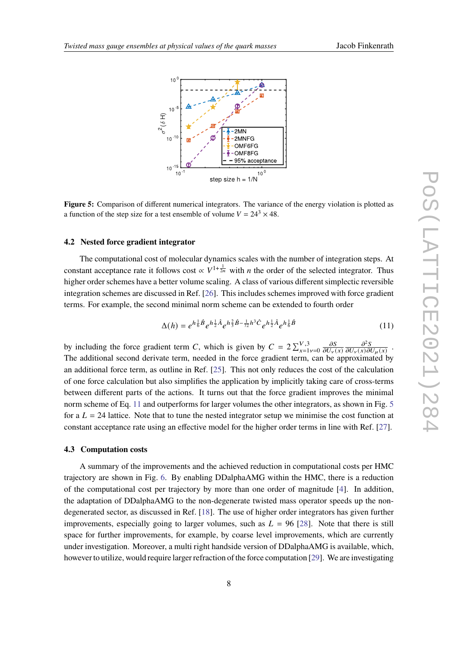<span id="page-7-0"></span>

**Figure 5:** Comparison of different numerical integrators. The variance of the energy violation is plotted as a function of the step size for a test ensemble of volume  $V = 24^3 \times 48$ .

### **4.2 Nested force gradient integrator**

The computational cost of molecular dynamics scales with the number of integration steps. At constant acceptance rate it follows cost  $\propto V^{1+\frac{1}{2n}}$  with *n* the order of the selected integrator. Thus higher order schemes have a better volume scaling. A class of various different simplectic reversible integration schemes are discussed in Ref. [\[26\]](#page-11-6). This includes schemes improved with force gradient terms. For example, the second minimal norm scheme can be extended to fourth order

$$
\Delta(h) = e^{h\frac{1}{6}\hat{B}}e^{h\frac{1}{2}\hat{A}}e^{h\frac{2}{3}\hat{B}-\frac{1}{72}h^3\hat{C}}e^{h\frac{1}{2}\hat{A}}e^{h\frac{1}{6}\hat{B}}
$$
(11)

by including the force gradient term C, which is given by  $C = 2\sum_{x=1}^{V,3} y = 0$  $\partial S$  $\overline{\partial U_\nu(x)}$  $\partial^2 S$  $\overline{\partial U_{\nu}(x)\partial U_{\mu}(x)}$ . The additional second derivate term, needed in the force gradient term, can be approximated by an additional force term, as outline in Ref. [\[25\]](#page-11-7). This not only reduces the cost of the calculation of one force calculation but also simplifies the application by implicitly taking care of cross-terms between different parts of the actions. It turns out that the force gradient improves the minimal norm scheme of Eq. [11](#page-5-1) and outperforms for larger volumes the other integrators, as shown in Fig. [5](#page-7-0) for a  $L = 24$  lattice. Note that to tune the nested integrator setup we minimise the cost function at constant acceptance rate using an effective model for the higher order terms in line with Ref. [\[27\]](#page-11-8).

#### **4.3 Computation costs**

A summary of the improvements and the achieved reduction in computational costs per HMC trajectory are shown in Fig. [6.](#page-8-0) By enabling DDalphaAMG within the HMC, there is a reduction of the computational cost per trajectory by more than one order of magnitude [\[4\]](#page-10-3). In addition, the adaptation of DDalphaAMG to the non-degenerate twisted mass operator speeds up the nondegenerated sector, as discussed in Ref. [\[18\]](#page-11-2). The use of higher order integrators has given further improvements, especially going to larger volumes, such as  $L = 96$  [\[28\]](#page-11-9). Note that there is still space for further improvements, for example, by coarse level improvements, which are currently under investigation. Moreover, a multi right handside version of DDalphaAMG is available, which, however to utilize, would require larger refraction of the force computation [\[29\]](#page-11-10). We are investigating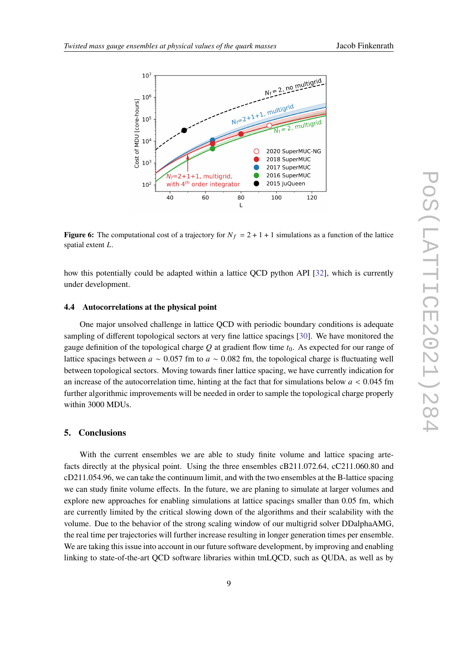

<span id="page-8-0"></span>

**Figure 6:** The computational cost of a trajectory for  $N_f = 2 + 1 + 1$  simulations as a function of the lattice spatial extent  $L$ .

how this potentially could be adapted within a lattice QCD python API [\[32\]](#page-11-11), which is currently under development.

#### **4.4 Autocorrelations at the physical point**

One major unsolved challenge in lattice QCD with periodic boundary conditions is adequate sampling of different topological sectors at very fine lattice spacings [\[30\]](#page-11-12). We have monitored the gauge definition of the topological charge  $Q$  at gradient flow time  $t_0$ . As expected for our range of lattice spacings between  $a \sim 0.057$  fm to  $a \sim 0.082$  fm, the topological charge is fluctuating well between topological sectors. Moving towards finer lattice spacing, we have currently indication for an increase of the autocorrelation time, hinting at the fact that for simulations below  $a < 0.045$  fm further algorithmic improvements will be needed in order to sample the topological charge properly within 3000 MDUs.

## **5. Conclusions**

With the current ensembles we are able to study finite volume and lattice spacing artefacts directly at the physical point. Using the three ensembles cB211.072.64, cC211.060.80 and cD211.054.96, we can take the continuum limit, and with the two ensembles at the B-lattice spacing we can study finite volume effects. In the future, we are planing to simulate at larger volumes and explore new approaches for enabling simulations at lattice spacings smaller than 0.05 fm, which are currently limited by the critical slowing down of the algorithms and their scalability with the volume. Due to the behavior of the strong scaling window of our multigrid solver DDalphaAMG, the real time per trajectories will further increase resulting in longer generation times per ensemble. We are taking this issue into account in our future software development, by improving and enabling linking to state-of-the-art QCD software libraries within tmLQCD, such as QUDA, as well as by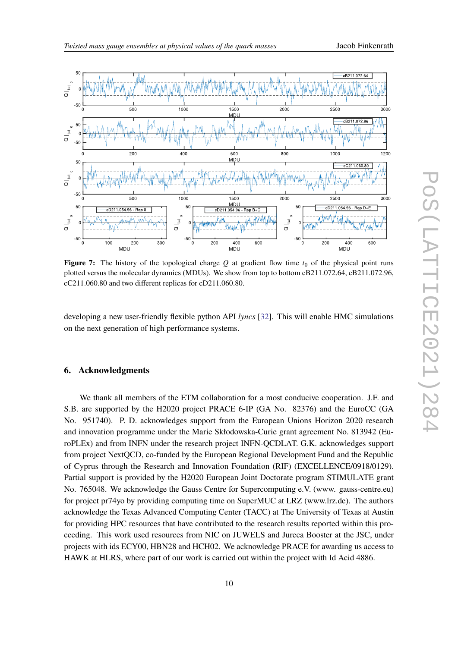



**Figure 7:** The history of the topological charge Q at gradient flow time  $t_0$  of the physical point runs plotted versus the molecular dynamics (MDUs). We show from top to bottom cB211.072.64, cB211.072.96, cC211.060.80 and two different replicas for cD211.060.80.

developing a new user-friendly flexible python API *lyncs* [\[32\]](#page-11-11). This will enable HMC simulations on the next generation of high performance systems.

## **6. Acknowledgments**

We thank all members of the ETM collaboration for a most conducive cooperation. J.F. and S.B. are supported by the H2020 project PRACE 6-IP (GA No. 82376) and the EuroCC (GA No. 951740). P. D. acknowledges support from the European Unions Horizon 2020 research and innovation programme under the Marie Skłodowska-Curie grant agreement No. 813942 (EuroPLEx) and from INFN under the research project INFN-QCDLAT. G.K. acknowledges support from project NextQCD, co-funded by the European Regional Development Fund and the Republic of Cyprus through the Research and Innovation Foundation (RIF) (EXCELLENCE/0918/0129). Partial support is provided by the H2020 European Joint Doctorate program STIMULATE grant No. 765048. We acknowledge the Gauss Centre for Supercomputing e.V. (www. gauss-centre.eu) for project pr74yo by providing computing time on SuperMUC at LRZ (www.lrz.de). The authors acknowledge the Texas Advanced Computing Center (TACC) at The University of Texas at Austin for providing HPC resources that have contributed to the research results reported within this proceeding. This work used resources from NIC on JUWELS and Jureca Booster at the JSC, under projects with ids ECY00, HBN28 and HCH02. We acknowledge PRACE for awarding us access to HAWK at HLRS, where part of our work is carried out within the project with Id Acid 4886.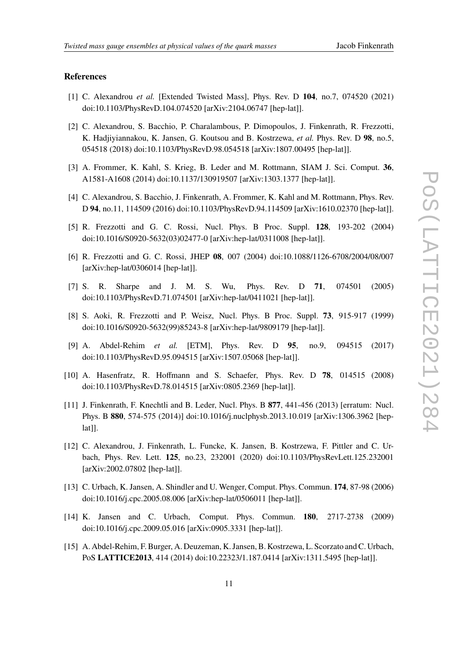#### **References**

- <span id="page-10-0"></span>[1] C. Alexandrou *et al.* [Extended Twisted Mass], Phys. Rev. D **104**, no.7, 074520 (2021) doi:10.1103/PhysRevD.104.074520 [arXiv:2104.06747 [hep-lat]].
- <span id="page-10-1"></span>[2] C. Alexandrou, S. Bacchio, P. Charalambous, P. Dimopoulos, J. Finkenrath, R. Frezzotti, K. Hadjiyiannakou, K. Jansen, G. Koutsou and B. Kostrzewa, *et al.* Phys. Rev. D **98**, no.5, 054518 (2018) doi:10.1103/PhysRevD.98.054518 [arXiv:1807.00495 [hep-lat]].
- <span id="page-10-2"></span>[3] A. Frommer, K. Kahl, S. Krieg, B. Leder and M. Rottmann, SIAM J. Sci. Comput. **36**, A1581-A1608 (2014) doi:10.1137/130919507 [arXiv:1303.1377 [hep-lat]].
- <span id="page-10-3"></span>[4] C. Alexandrou, S. Bacchio, J. Finkenrath, A. Frommer, K. Kahl and M. Rottmann, Phys. Rev. D **94**, no.11, 114509 (2016) doi:10.1103/PhysRevD.94.114509 [arXiv:1610.02370 [hep-lat]].
- <span id="page-10-4"></span>[5] R. Frezzotti and G. C. Rossi, Nucl. Phys. B Proc. Suppl. **128**, 193-202 (2004) doi:10.1016/S0920-5632(03)02477-0 [arXiv:hep-lat/0311008 [hep-lat]].
- <span id="page-10-5"></span>[6] R. Frezzotti and G. C. Rossi, JHEP **08**, 007 (2004) doi:10.1088/1126-6708/2004/08/007 [arXiv:hep-lat/0306014 [hep-lat]].
- <span id="page-10-6"></span>[7] S. R. Sharpe and J. M. S. Wu, Phys. Rev. D **71**, 074501 (2005) doi:10.1103/PhysRevD.71.074501 [arXiv:hep-lat/0411021 [hep-lat]].
- <span id="page-10-8"></span>[8] S. Aoki, R. Frezzotti and P. Weisz, Nucl. Phys. B Proc. Suppl. **73**, 915-917 (1999) doi:10.1016/S0920-5632(99)85243-8 [arXiv:hep-lat/9809179 [hep-lat]].
- <span id="page-10-7"></span>[9] A. Abdel-Rehim *et al.* [ETM], Phys. Rev. D **95**, no.9, 094515 (2017) doi:10.1103/PhysRevD.95.094515 [arXiv:1507.05068 [hep-lat]].
- <span id="page-10-9"></span>[10] A. Hasenfratz, R. Hoffmann and S. Schaefer, Phys. Rev. D **78**, 014515 (2008) doi:10.1103/PhysRevD.78.014515 [arXiv:0805.2369 [hep-lat]].
- [11] J. Finkenrath, F. Knechtli and B. Leder, Nucl. Phys. B **877**, 441-456 (2013) [erratum: Nucl. Phys. B **880**, 574-575 (2014)] doi:10.1016/j.nuclphysb.2013.10.019 [arXiv:1306.3962 [hep $lat$ ].
- <span id="page-10-10"></span>[12] C. Alexandrou, J. Finkenrath, L. Funcke, K. Jansen, B. Kostrzewa, F. Pittler and C. Urbach, Phys. Rev. Lett. **125**, no.23, 232001 (2020) doi:10.1103/PhysRevLett.125.232001 [arXiv:2002.07802 [hep-lat]].
- <span id="page-10-12"></span>[13] C. Urbach, K. Jansen, A. Shindler and U. Wenger, Comput. Phys. Commun. **174**, 87-98 (2006) doi:10.1016/j.cpc.2005.08.006 [arXiv:hep-lat/0506011 [hep-lat]].
- <span id="page-10-11"></span>[14] K. Jansen and C. Urbach, Comput. Phys. Commun. **180**, 2717-2738 (2009) doi:10.1016/j.cpc.2009.05.016 [arXiv:0905.3331 [hep-lat]].
- [15] A. Abdel-Rehim, F. Burger, A. Deuzeman, K. Jansen, B. Kostrzewa, L. Scorzato and C. Urbach, PoS **LATTICE2013**, 414 (2014) doi:10.22323/1.187.0414 [arXiv:1311.5495 [hep-lat]].